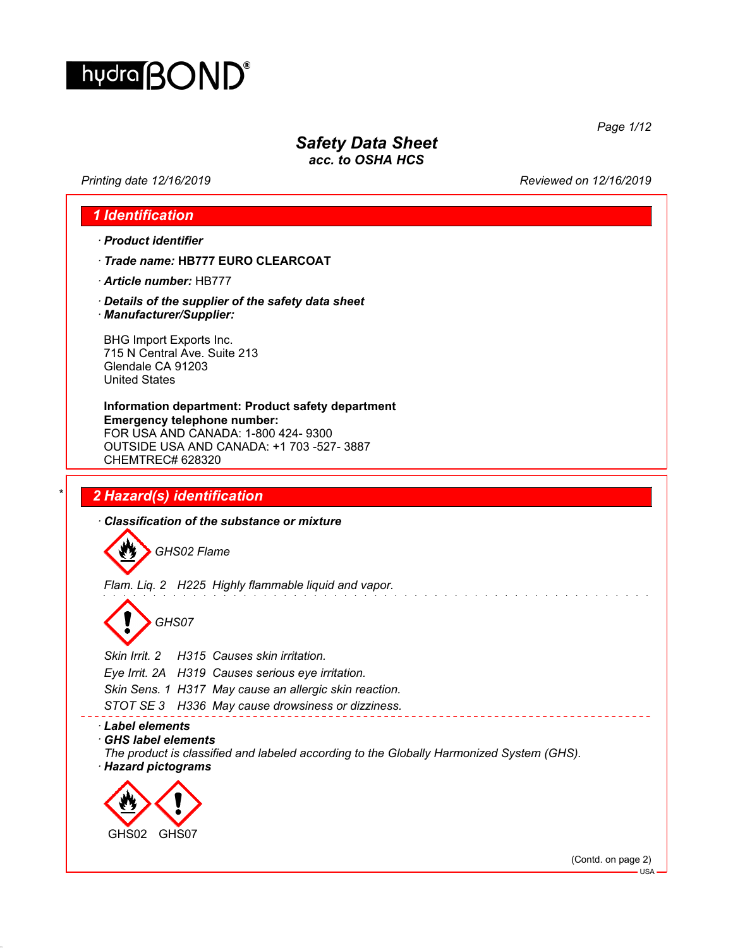

# *Safety Data Sheet*

*acc. to OSHA HCS*

*Printing date 12/16/2019 Reviewed on 12/16/2019*

*Page 1/12*

## *1 Identification*

- *· Product identifier*
- *· Trade name:* **HB777 EURO CLEARCOAT**
- *· Article number:* HB777
- *· Details of the supplier of the safety data sheet · Manufacturer/Supplier:*

BHG Import Exports Inc. 715 N Central Ave. Suite 213 Glendale CA 91203 United States

**Information department: Product safety department Emergency telephone number:** FOR USA AND CANADA: 1-800 424- 9300 OUTSIDE USA AND CANADA: +1 703 -527- 3887 CHEMTREC# 628320

## *\* 2 Hazard(s) identification*

*· Classification of the substance or mixture*

*GHS02 Flame*

*Flam. Liq. 2 H225 Highly flammable liquid and vapor.*

*GHS07*

*Skin Irrit. 2 H315 Causes skin irritation. Eye Irrit. 2A H319 Causes serious eye irritation. Skin Sens. 1 H317 May cause an allergic skin reaction. STOT SE 3 H336 May cause drowsiness or dizziness.*

#### *· Label elements*

*· GHS label elements*

*The product is classified and labeled according to the Globally Harmonized System (GHS). · Hazard pictograms*



(Contd. on page 2)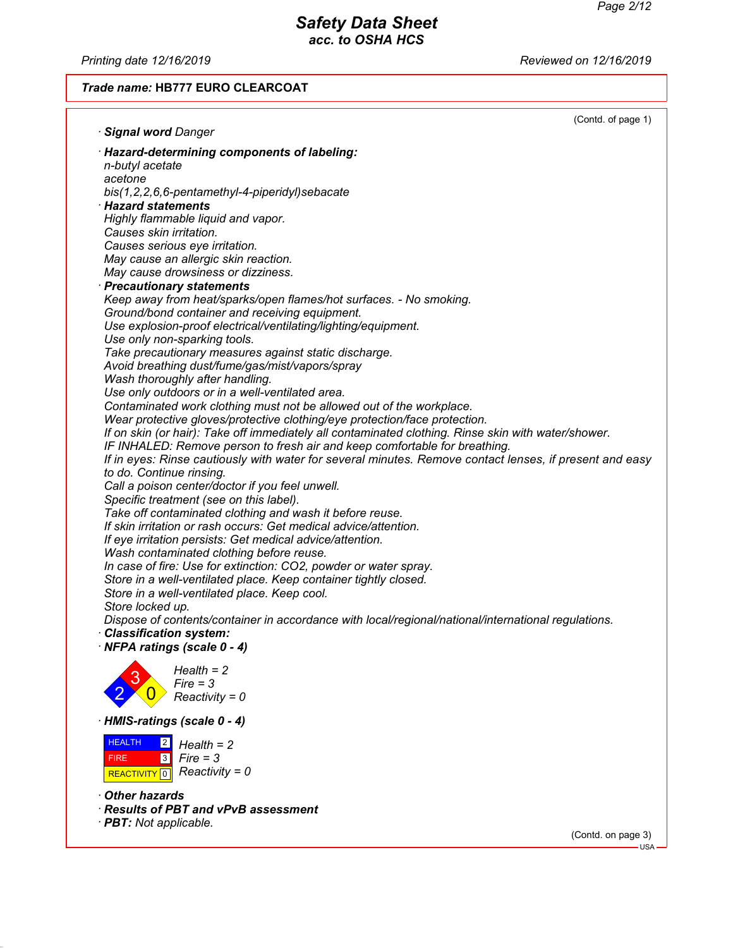*Printing date 12/16/2019 Reviewed on 12/16/2019*

## *Trade name:* **HB777 EURO CLEARCOAT**

|                                                                                                                                                                                       | (Contd. of page 1) |
|---------------------------------------------------------------------------------------------------------------------------------------------------------------------------------------|--------------------|
| · Signal word Danger                                                                                                                                                                  |                    |
| · Hazard-determining components of labeling:                                                                                                                                          |                    |
| n-butyl acetate                                                                                                                                                                       |                    |
| acetone                                                                                                                                                                               |                    |
| bis(1,2,2,6,6-pentamethyl-4-piperidyl)sebacate<br>$\cdot$ Hazard statements                                                                                                           |                    |
| Highly flammable liquid and vapor.                                                                                                                                                    |                    |
| Causes skin irritation.                                                                                                                                                               |                    |
| Causes serious eye irritation.                                                                                                                                                        |                    |
| May cause an allergic skin reaction.                                                                                                                                                  |                    |
| May cause drowsiness or dizziness.                                                                                                                                                    |                    |
| · Precautionary statements                                                                                                                                                            |                    |
| Keep away from heat/sparks/open flames/hot surfaces. - No smoking.                                                                                                                    |                    |
| Ground/bond container and receiving equipment.                                                                                                                                        |                    |
| Use explosion-proof electrical/ventilating/lighting/equipment.<br>Use only non-sparking tools.                                                                                        |                    |
| Take precautionary measures against static discharge.                                                                                                                                 |                    |
| Avoid breathing dust/fume/gas/mist/vapors/spray                                                                                                                                       |                    |
| Wash thoroughly after handling.                                                                                                                                                       |                    |
| Use only outdoors or in a well-ventilated area.                                                                                                                                       |                    |
| Contaminated work clothing must not be allowed out of the workplace.                                                                                                                  |                    |
| Wear protective gloves/protective clothing/eye protection/face protection.                                                                                                            |                    |
| If on skin (or hair): Take off immediately all contaminated clothing. Rinse skin with water/shower.                                                                                   |                    |
| IF INHALED: Remove person to fresh air and keep comfortable for breathing.<br>If in eyes: Rinse cautiously with water for several minutes. Remove contact lenses, if present and easy |                    |
| to do. Continue rinsing.                                                                                                                                                              |                    |
| Call a poison center/doctor if you feel unwell.                                                                                                                                       |                    |
| Specific treatment (see on this label).                                                                                                                                               |                    |
| Take off contaminated clothing and wash it before reuse.                                                                                                                              |                    |
| If skin irritation or rash occurs: Get medical advice/attention.                                                                                                                      |                    |
| If eye irritation persists: Get medical advice/attention.                                                                                                                             |                    |
| Wash contaminated clothing before reuse.                                                                                                                                              |                    |
| In case of fire: Use for extinction: CO2, powder or water spray.<br>Store in a well-ventilated place. Keep container tightly closed.                                                  |                    |
| Store in a well-ventilated place. Keep cool.                                                                                                                                          |                    |
| Store locked up.                                                                                                                                                                      |                    |
| Dispose of contents/container in accordance with local/regional/national/international regulations.                                                                                   |                    |
| · Classification system:                                                                                                                                                              |                    |
| <b>NFPA ratings (scale 0 - 4)</b>                                                                                                                                                     |                    |
| $Health = 2$                                                                                                                                                                          |                    |
| $Fire = 3$                                                                                                                                                                            |                    |
| $Reactivity = 0$                                                                                                                                                                      |                    |
|                                                                                                                                                                                       |                    |
| · HMIS-ratings (scale 0 - 4)                                                                                                                                                          |                    |
| <b>HEALTH</b><br>2 <br>$Health = 2$                                                                                                                                                   |                    |
| <b>FIRE</b><br> 3 <br>$Fire = 3$                                                                                                                                                      |                    |
| $Reactivity = 0$<br><b>REACTIVITY</b> 0                                                                                                                                               |                    |
| Other hazards                                                                                                                                                                         |                    |
| · Results of PBT and vPvB assessment                                                                                                                                                  |                    |
| · <b>PBT:</b> Not applicable.                                                                                                                                                         |                    |

(Contd. on page 3)

- USA -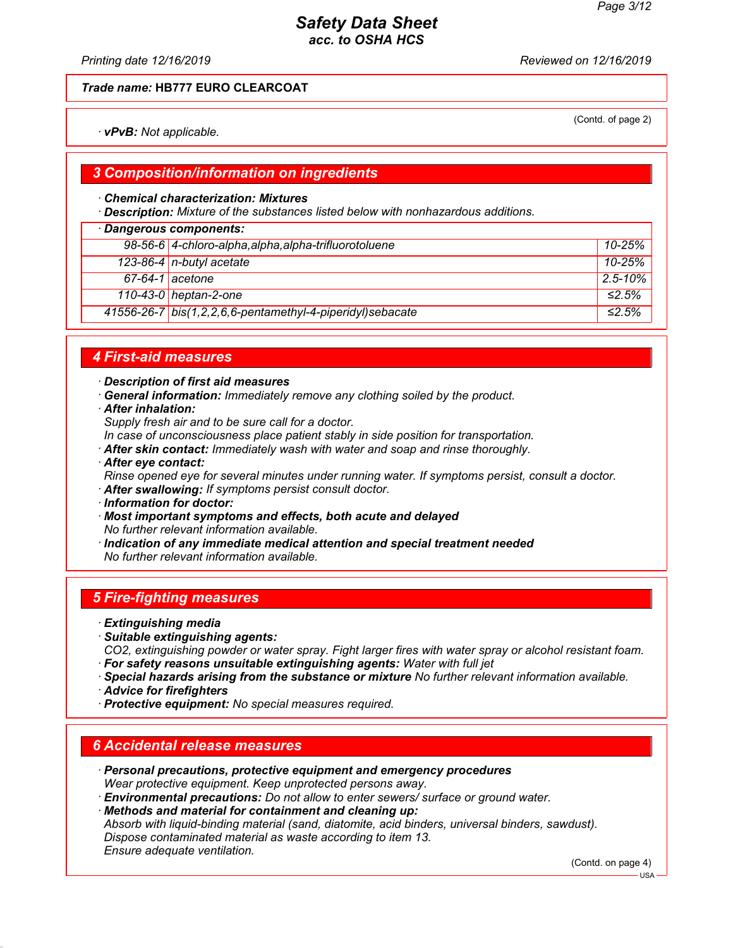*Printing date 12/16/2019 Reviewed on 12/16/2019*

#### *Trade name:* **HB777 EURO CLEARCOAT**

*· vPvB: Not applicable.*

#### *3 Composition/information on ingredients*

#### *· Chemical characterization: Mixtures*

*· Description: Mixture of the substances listed below with nonhazardous additions.*

## *· Dangerous components: 98-56-6 4-chloro-alpha,alpha,alpha-trifluorotoluene 10-25% 123-86-4 n-butyl acetate 10-25% 67-64-1 acetone 2.5-10% 110-43-0 heptan-2-one ≤2.5% 41556-26-7 bis(1,2,2,6,6-pentamethyl-4-piperidyl)sebacate ≤2.5%*

### *4 First-aid measures*

*· Description of first aid measures*

- *· General information: Immediately remove any clothing soiled by the product.*
- *· After inhalation:*
- *Supply fresh air and to be sure call for a doctor.*

*In case of unconsciousness place patient stably in side position for transportation.*

- *· After skin contact: Immediately wash with water and soap and rinse thoroughly.*
- *· After eye contact:*

*Rinse opened eye for several minutes under running water. If symptoms persist, consult a doctor.*

- *· After swallowing: If symptoms persist consult doctor.*
- *· Information for doctor:*
- *· Most important symptoms and effects, both acute and delayed No further relevant information available.*
- *· Indication of any immediate medical attention and special treatment needed No further relevant information available.*

## *5 Fire-fighting measures*

- *· Extinguishing media*
- *· Suitable extinguishing agents:*

*CO2, extinguishing powder or water spray. Fight larger fires with water spray or alcohol resistant foam. · For safety reasons unsuitable extinguishing agents: Water with full jet*

- *· Special hazards arising from the substance or mixture No further relevant information available.*
- *· Advice for firefighters*
- *· Protective equipment: No special measures required.*

#### *6 Accidental release measures*

- *· Personal precautions, protective equipment and emergency procedures Wear protective equipment. Keep unprotected persons away.*
- *· Environmental precautions: Do not allow to enter sewers/ surface or ground water.*

*· Methods and material for containment and cleaning up:*

*Absorb with liquid-binding material (sand, diatomite, acid binders, universal binders, sawdust).*

*Dispose contaminated material as waste according to item 13.*

*Ensure adequate ventilation.*

(Contd. on page 4)

(Contd. of page 2)

USA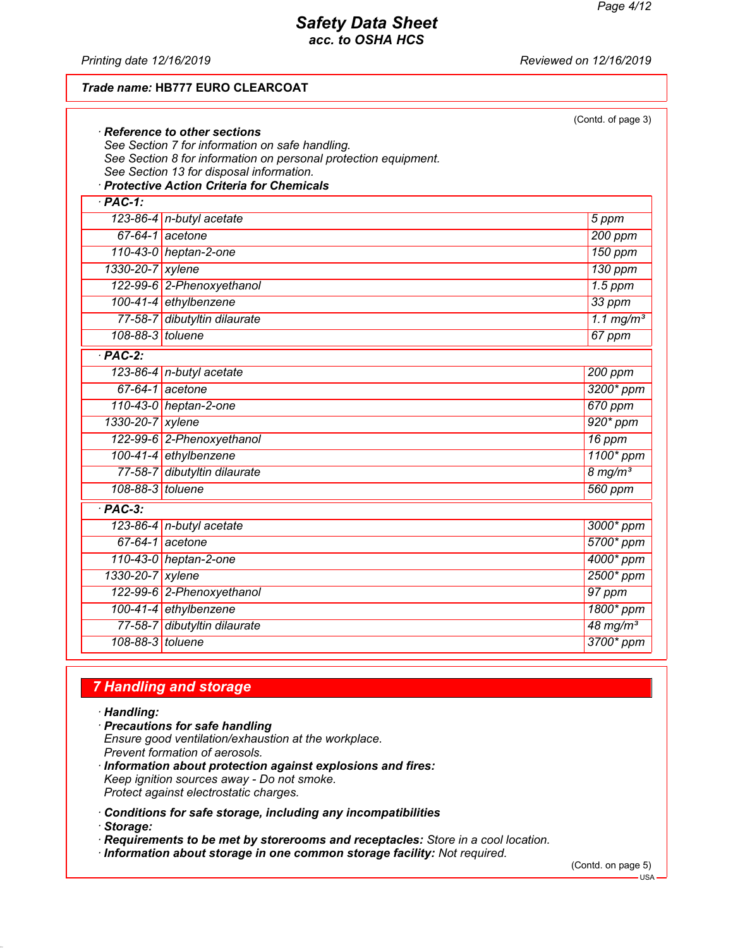*Printing date 12/16/2019 Reviewed on 12/16/2019*

### *Trade name:* **HB777 EURO CLEARCOAT**

|                    |                                                                                        | (Contd. of page 3)      |
|--------------------|----------------------------------------------------------------------------------------|-------------------------|
|                    | $\cdot$ Reference to other sections<br>See Section 7 for information on safe handling. |                         |
|                    | See Section 8 for information on personal protection equipment.                        |                         |
|                    | See Section 13 for disposal information.                                               |                         |
|                    | · Protective Action Criteria for Chemicals                                             |                         |
| $\overline{PAC-1}$ |                                                                                        |                         |
|                    | 123-86-4 $n$ -butyl acetate                                                            | 5 ppm                   |
|                    | $67-64-1$ acetone                                                                      | $200$ ppm               |
|                    | 110-43-0 heptan-2-one                                                                  | 150 ppm                 |
| 1330-20-7 xylene   |                                                                                        | 130 ppm                 |
|                    | 122-99-6 2-Phenoxyethanol                                                              | $1.5$ ppm               |
|                    | 100-41-4 ethylbenzene                                                                  | 33 ppm                  |
|                    | 77-58-7 dibutyltin dilaurate                                                           | $1.1$ mg/m <sup>3</sup> |
| 108-88-3 toluene   |                                                                                        | 67 ppm                  |
| $·$ PAC-2:         |                                                                                        |                         |
|                    | 123-86-4 n-butyl acetate                                                               | 200 ppm                 |
|                    | $67-64-1$ acetone                                                                      | 3200* ppm               |
|                    | 110-43-0 heptan-2-one                                                                  | 670 ppm                 |
| 1330-20-7 xylene   |                                                                                        | $920*ppm$               |
|                    | 122-99-6 2-Phenoxyethanol                                                              | 16 ppm                  |
|                    | 100-41-4 ethylbenzene                                                                  | 1100* ppm               |
|                    | 77-58-7 dibutyltin dilaurate                                                           | $8 \, \text{mg/m}^3$    |
| 108-88-3 toluene   |                                                                                        | 560 ppm                 |
| $·$ PAC-3:         |                                                                                        |                         |
|                    | 123-86-4 n-butyl acetate                                                               | 3000* ppm               |
|                    | $67-64-1$ acetone                                                                      | 5700* ppm               |
|                    | 110-43-0 heptan-2-one                                                                  | 4000* ppm               |
| 1330-20-7 xylene   |                                                                                        | $2500*$ ppm             |
|                    | 122-99-6 2-Phenoxyethanol                                                              | 97 ppm                  |
|                    | 100-41-4 ethylbenzene                                                                  | 1800* ppm               |
|                    | 77-58-7 dibutyltin dilaurate                                                           | $48 \,\mathrm{mg/m^3}$  |
| 108-88-3 toluene   |                                                                                        | 3700* ppm               |

## *7 Handling and storage*

*· Handling:*

- *· Precautions for safe handling Ensure good ventilation/exhaustion at the workplace. Prevent formation of aerosols.*
- *· Information about protection against explosions and fires: Keep ignition sources away - Do not smoke. Protect against electrostatic charges.*
- *· Conditions for safe storage, including any incompatibilities*
- *· Storage:*
- *· Requirements to be met by storerooms and receptacles: Store in a cool location.*
- *· Information about storage in one common storage facility: Not required.*

(Contd. on page 5)

 $-<sub>USA</sub>$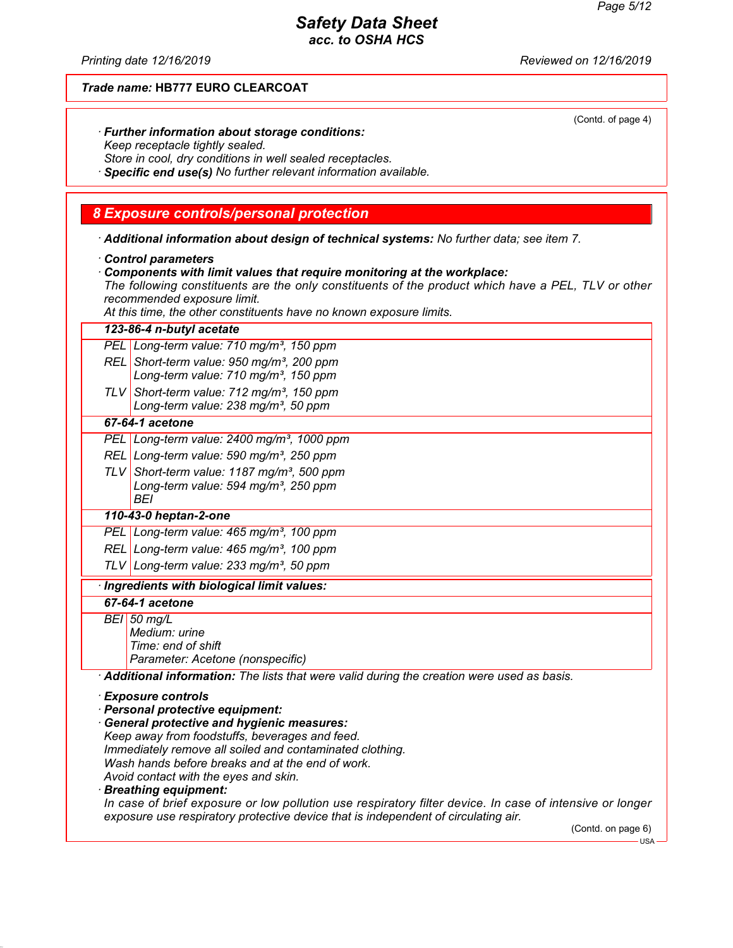*Printing date 12/16/2019 Reviewed on 12/16/2019*

### *Trade name:* **HB777 EURO CLEARCOAT**

(Contd. of page 4)

| · Further information about storage conditions:                     |  |
|---------------------------------------------------------------------|--|
| Keep receptacle tightly sealed.                                     |  |
| At the second of the second distance in the second of the second of |  |

*Store in cool, dry conditions in well sealed receptacles.*

*· Specific end use(s) No further relevant information available.*

#### *8 Exposure controls/personal protection*

*· Additional information about design of technical systems: No further data; see item 7.*

- *· Control parameters*
- *· Components with limit values that require monitoring at the workplace:*

*The following constituents are the only constituents of the product which have a PEL, TLV or other recommended exposure limit.*

*At this time, the other constituents have no known exposure limits.*

#### *123-86-4 n-butyl acetate*

*PEL Long-term value: 710 mg/m³, 150 ppm*

- *REL Short-term value: 950 mg/m³, 200 ppm Long-term value: 710 mg/m³, 150 ppm*
- *TLV Short-term value: 712 mg/m³, 150 ppm Long-term value: 238 mg/m³, 50 ppm*

### *67-64-1 acetone*

- *PEL Long-term value: 2400 mg/m³, 1000 ppm*
- *REL Long-term value: 590 mg/m³, 250 ppm*
- *TLV Short-term value: 1187 mg/m³, 500 ppm Long-term value: 594 mg/m³, 250 ppm BEI*

#### *110-43-0 heptan-2-one*

*PEL Long-term value: 465 mg/m³, 100 ppm*

*REL Long-term value: 465 mg/m³, 100 ppm*

*TLV Long-term value: 233 mg/m³, 50 ppm*

#### *· Ingredients with biological limit values:*

#### *67-64-1 acetone*

*BEI 50 mg/L Medium: urine Time: end of shift Parameter: Acetone (nonspecific)*

*· Additional information: The lists that were valid during the creation were used as basis.*

*· Exposure controls*

- *· Personal protective equipment:*
- *· General protective and hygienic measures: Keep away from foodstuffs, beverages and feed. Immediately remove all soiled and contaminated clothing. Wash hands before breaks and at the end of work. Avoid contact with the eyes and skin.*

#### *· Breathing equipment:*

*In case of brief exposure or low pollution use respiratory filter device. In case of intensive or longer exposure use respiratory protective device that is independent of circulating air.*

(Contd. on page 6)

USA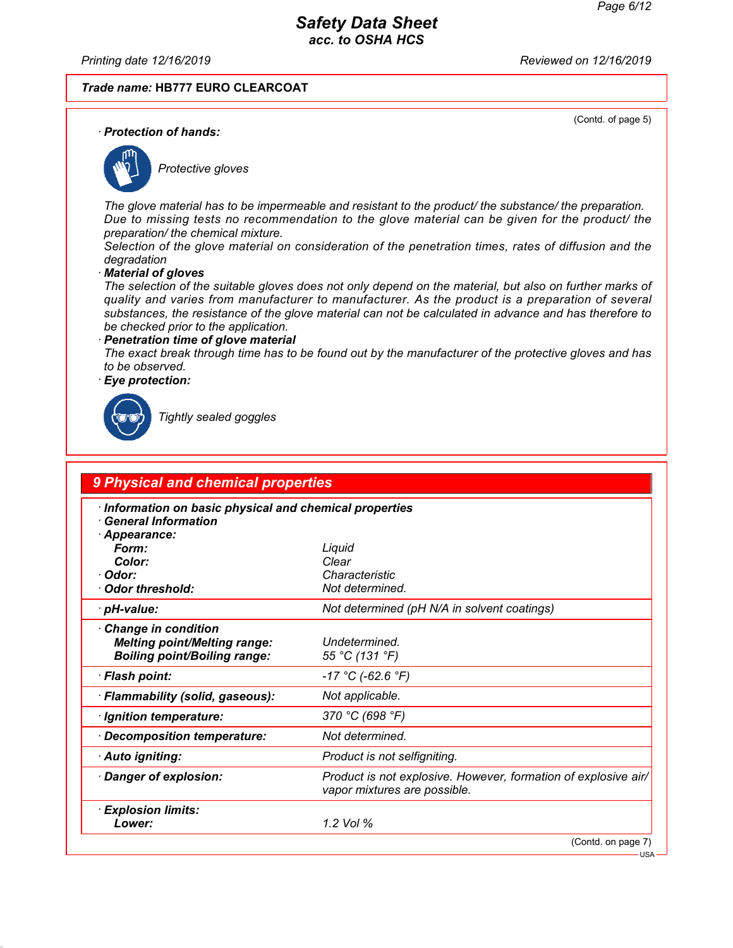*Printing date 12/16/2019 Reviewed on 12/16/2019*

*Trade name:* **HB777 EURO CLEARCOAT**

(Contd. of page 5)

*· Protection of hands:*



*Protective gloves*

*The glove material has to be impermeable and resistant to the product/ the substance/ the preparation. Due to missing tests no recommendation to the glove material can be given for the product/ the preparation/ the chemical mixture.*

*Selection of the glove material on consideration of the penetration times, rates of diffusion and the degradation*

*· Material of gloves*

*The selection of the suitable gloves does not only depend on the material, but also on further marks of quality and varies from manufacturer to manufacturer. As the product is a preparation of several substances, the resistance of the glove material can not be calculated in advance and has therefore to be checked prior to the application.*

*· Penetration time of glove material The exact break through time has to be found out by the manufacturer of the protective gloves and has to be observed.*

*· Eye protection:*



*Tightly sealed goggles*

| 9 Physical and chemical properties                                                                          |                                                                                                |
|-------------------------------------------------------------------------------------------------------------|------------------------------------------------------------------------------------------------|
| Information on basic physical and chemical properties<br><b>General Information</b><br>Appearance:<br>Form: | Liquid                                                                                         |
| Color:<br>· Odor:<br>· Odor threshold:                                                                      | Clear<br>Characteristic<br>Not determined.                                                     |
| · pH-value:                                                                                                 | Not determined (pH N/A in solvent coatings)                                                    |
| Change in condition<br><b>Melting point/Melting range:</b><br><b>Boiling point/Boiling range:</b>           | Undetermined.<br>55 °C (131 °F)                                                                |
| · Flash point:                                                                                              | $-17 °C$ (-62.6 °F)                                                                            |
| · Flammability (solid, gaseous):                                                                            | Not applicable.                                                                                |
| · Ignition temperature:                                                                                     | 370 °C (698 °F)                                                                                |
| Decomposition temperature:                                                                                  | Not determined.                                                                                |
| · Auto igniting:                                                                                            | Product is not selfigniting.                                                                   |
| Danger of explosion:                                                                                        | Product is not explosive. However, formation of explosive air/<br>vapor mixtures are possible. |
| <b>Explosion limits:</b><br>Lower:                                                                          | 1.2 Vol %                                                                                      |
|                                                                                                             | (Contd. on page 7)                                                                             |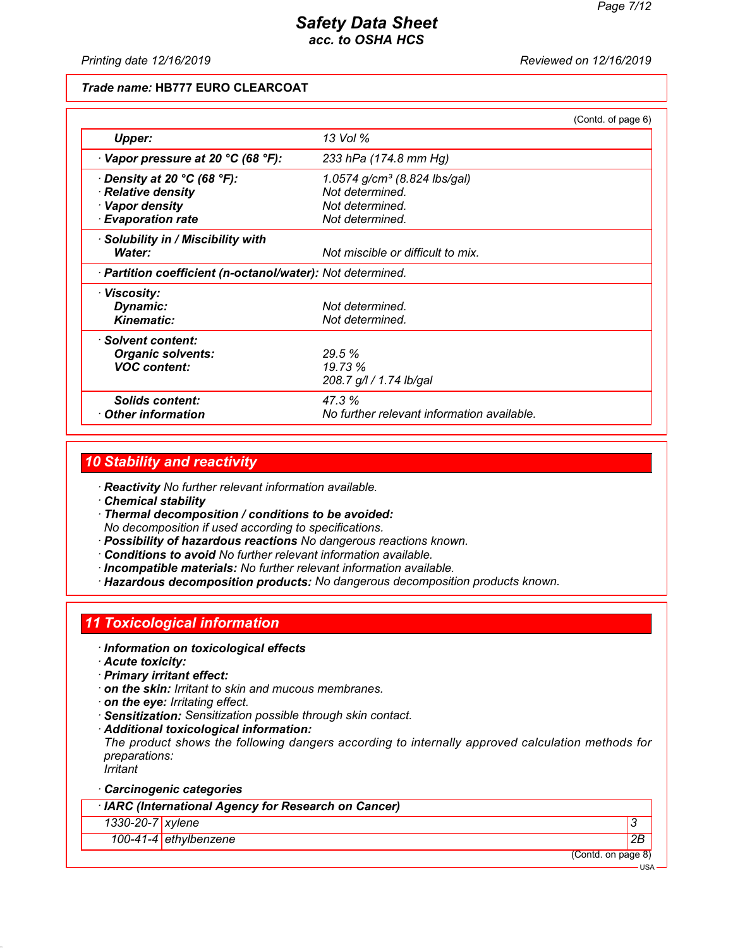*Printing date 12/16/2019 Reviewed on 12/16/2019*

#### *Trade name:* **HB777 EURO CLEARCOAT**

|                                                            |                                            | (Contd. of page 6) |
|------------------------------------------------------------|--------------------------------------------|--------------------|
| Upper:                                                     | 13 Vol %                                   |                    |
| $\cdot$ Vapor pressure at 20 °C (68 °F):                   | 233 hPa (174.8 mm Hg)                      |                    |
| $\cdot$ Density at 20 °C (68 °F):                          | 1.0574 g/cm <sup>3</sup> (8.824 lbs/gal)   |                    |
| · Relative density                                         | Not determined.                            |                    |
| · Vapor density                                            | Not determined.                            |                    |
| <b>Evaporation rate</b>                                    | Not determined.                            |                    |
| · Solubility in / Miscibility with                         |                                            |                    |
| Water:                                                     | Not miscible or difficult to mix.          |                    |
| · Partition coefficient (n-octanol/water): Not determined. |                                            |                    |
| · Viscosity:                                               |                                            |                    |
| Dynamic:                                                   | Not determined.                            |                    |
| <b>Kinematic:</b>                                          | Not determined.                            |                    |
| · Solvent content:                                         |                                            |                    |
| <b>Organic solvents:</b>                                   | 29.5 %                                     |                    |
| <b>VOC content:</b>                                        | 19.73 %                                    |                    |
|                                                            | 208.7 g/l / 1.74 lb/gal                    |                    |
| <b>Solids content:</b>                                     | 47.3%                                      |                    |
| $\cdot$ Other information                                  | No further relevant information available. |                    |

### *10 Stability and reactivity*

*· Reactivity No further relevant information available.*

*· Chemical stability*

*· Thermal decomposition / conditions to be avoided: No decomposition if used according to specifications.*

- *· Possibility of hazardous reactions No dangerous reactions known.*
- *· Conditions to avoid No further relevant information available.*
- *· Incompatible materials: No further relevant information available.*
- *· Hazardous decomposition products: No dangerous decomposition products known.*

## *11 Toxicological information*

- *· Information on toxicological effects*
- *· Acute toxicity:*
- *· Primary irritant effect:*
- *· on the skin: Irritant to skin and mucous membranes.*
- *· on the eye: Irritating effect.*
- *· Sensitization: Sensitization possible through skin contact.*
- *· Additional toxicological information:*

*The product shows the following dangers according to internally approved calculation methods for preparations:*

*Irritant*

*· Carcinogenic categories*

*· IARC (International Agency for Research on Cancer)*

*1330-20-7 xylene 3* 

*100-41-4 ethylbenzene 2B*

(Contd. on page 8)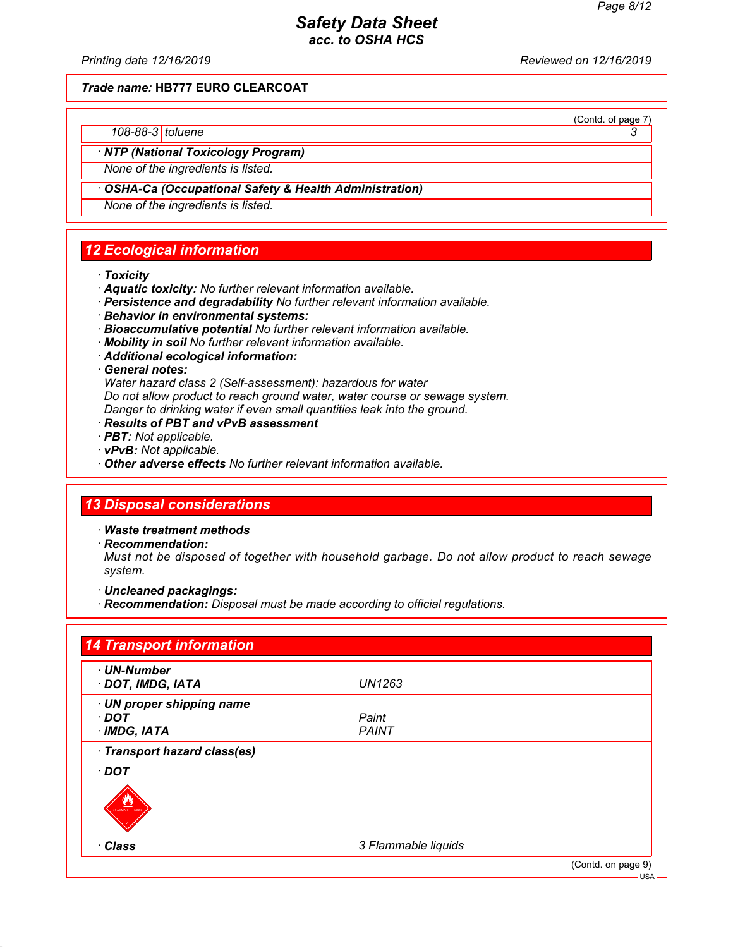(Contd. of page 7)

## *Safety Data Sheet acc. to OSHA HCS*

*Printing date 12/16/2019 Reviewed on 12/16/2019*

*Trade name:* **HB777 EURO CLEARCOAT**

#### *108-88-3 toluene 3*

*· NTP (National Toxicology Program)*

*None of the ingredients is listed.*

#### *· OSHA-Ca (Occupational Safety & Health Administration)*

*None of the ingredients is listed.*

## *12 Ecological information*

- *· Toxicity*
- *· Aquatic toxicity: No further relevant information available.*
- *· Persistence and degradability No further relevant information available.*
- *· Behavior in environmental systems:*
- *· Bioaccumulative potential No further relevant information available.*
- *· Mobility in soil No further relevant information available.*
- *· Additional ecological information:*

*· General notes:*

*Water hazard class 2 (Self-assessment): hazardous for water Do not allow product to reach ground water, water course or sewage system. Danger to drinking water if even small quantities leak into the ground.*

- *· Results of PBT and vPvB assessment*
- *· PBT: Not applicable.*
- *· vPvB: Not applicable.*
- *· Other adverse effects No further relevant information available.*

## *13 Disposal considerations*

- *· Waste treatment methods*
- *· Recommendation:*

*Must not be disposed of together with household garbage. Do not allow product to reach sewage system.*

- *· Uncleaned packagings:*
- *· Recommendation: Disposal must be made according to official regulations.*

| · UN-Number                  |                     |  |
|------------------------------|---------------------|--|
| · DOT, IMDG, IATA            | <b>UN1263</b>       |  |
| · UN proper shipping name    |                     |  |
| DOT ·                        | Paint               |  |
| $\cdot$ IMDG, IATA           | <b>PAINT</b>        |  |
| · Transport hazard class(es) |                     |  |
| $\cdot$ DOT                  |                     |  |
|                              |                     |  |
| <b>FLAMMABLE LIQUI</b>       |                     |  |
|                              |                     |  |
| · Class                      | 3 Flammable liquids |  |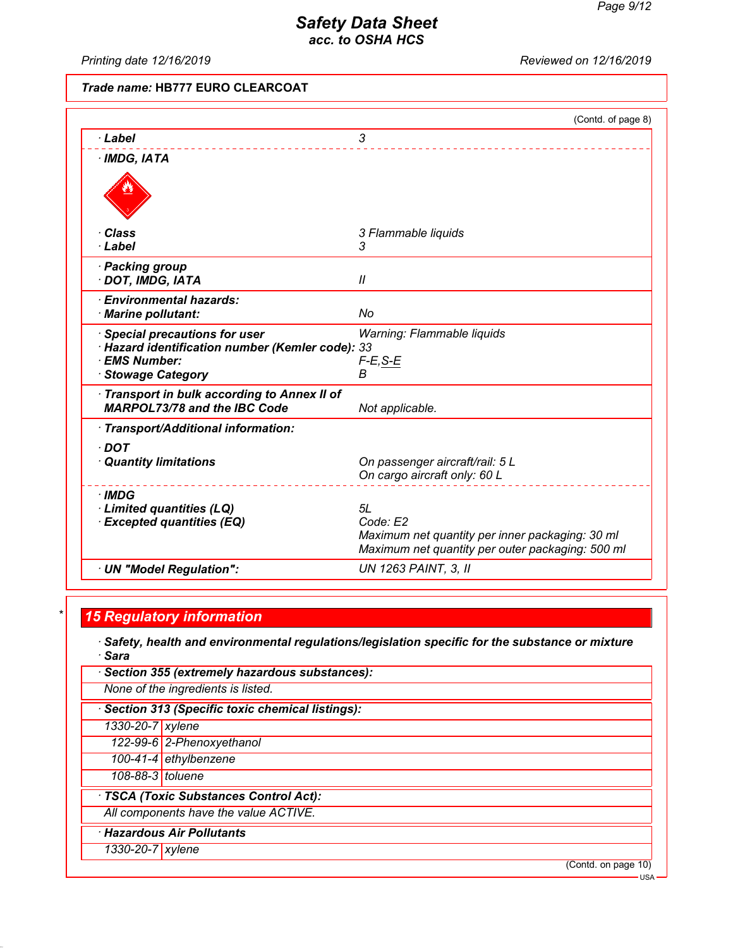*Printing date 12/16/2019 Reviewed on 12/16/2019*

## *Trade name:* **HB777 EURO CLEARCOAT**

|                                                                                                                              | (Contd. of page 8)                                                                                              |
|------------------------------------------------------------------------------------------------------------------------------|-----------------------------------------------------------------------------------------------------------------|
| · Label                                                                                                                      | 3                                                                                                               |
| $·$ IMDG, IATA                                                                                                               |                                                                                                                 |
|                                                                                                                              |                                                                                                                 |
| ∙ Class                                                                                                                      | 3 Flammable liquids                                                                                             |
| · Label                                                                                                                      | 3                                                                                                               |
| · Packing group<br>· DOT, IMDG, IATA                                                                                         | $\mathcal{U}$                                                                                                   |
| · Environmental hazards:<br>· Marine pollutant:                                                                              | No                                                                                                              |
| Special precautions for user<br>· Hazard identification number (Kemler code): 33<br>· EMS Number:<br><b>Stowage Category</b> | Warning: Flammable liquids<br>$F-E, S-E$<br>B                                                                   |
| Transport in bulk according to Annex II of<br><b>MARPOL73/78 and the IBC Code</b>                                            | Not applicable.                                                                                                 |
| · Transport/Additional information:                                                                                          |                                                                                                                 |
| $\cdot$ DOT<br>· Quantity limitations                                                                                        | On passenger aircraft/rail: 5 L<br>On cargo aircraft only: 60 L                                                 |
| · IMDG<br>· Limited quantities (LQ)                                                                                          | 5L                                                                                                              |
| <b>Excepted quantities (EQ)</b>                                                                                              | Code: E2<br>Maximum net quantity per inner packaging: 30 ml<br>Maximum net quantity per outer packaging: 500 ml |
|                                                                                                                              |                                                                                                                 |

## *\* 15 Regulatory information*

*· Safety, health and environmental regulations/legislation specific for the substance or mixture · Sara*

|                                        | Section 355 (extremely hazardous substances):     |  |  |
|----------------------------------------|---------------------------------------------------|--|--|
|                                        | None of the ingredients is listed.                |  |  |
|                                        | · Section 313 (Specific toxic chemical listings): |  |  |
| 1330-20-7 xylene                       |                                                   |  |  |
|                                        | 122-99-6 2-Phenoxyethanol                         |  |  |
|                                        | 100-41-4 $eth$ ylbenzene                          |  |  |
| 108-88-3 toluene                       |                                                   |  |  |
| · TSCA (Toxic Substances Control Act): |                                                   |  |  |
|                                        | All components have the value ACTIVE.             |  |  |
|                                        | · Hazardous Air Pollutants                        |  |  |
| $\overline{1330}$ -20-7   xylene       |                                                   |  |  |
|                                        | (Contd. on page 10)                               |  |  |

USA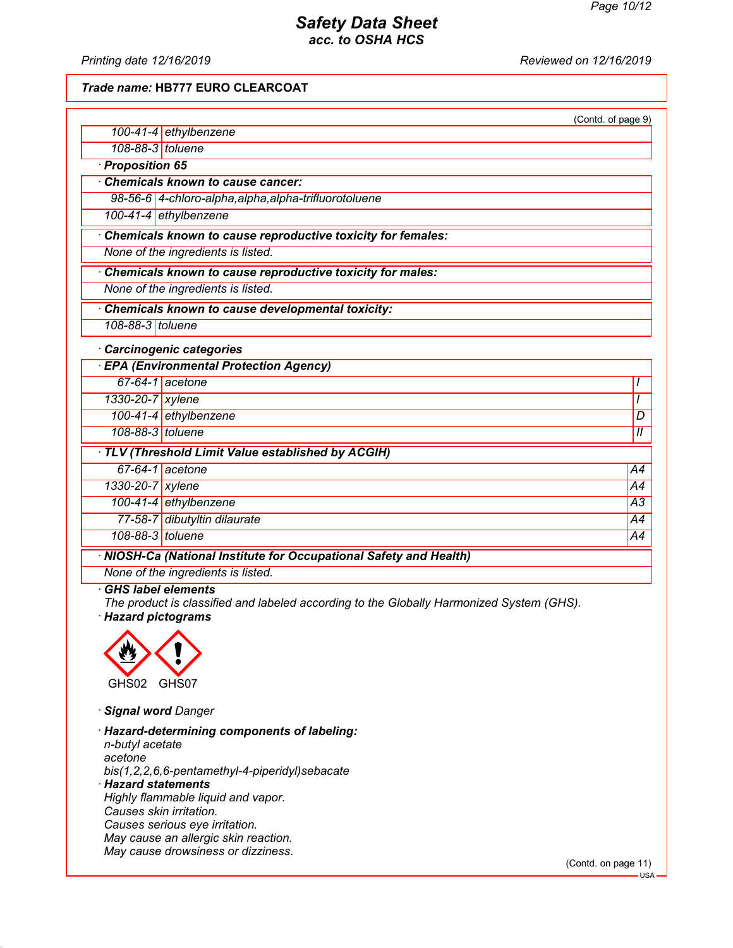*Printing date 12/16/2019 Reviewed on 12/16/2019*

*Trade name:* **HB777 EURO CLEARCOAT**

|                                                    |                                                                    | (Contd. of page 9) |
|----------------------------------------------------|--------------------------------------------------------------------|--------------------|
|                                                    | 100-41-4 ethylbenzene                                              |                    |
| 108-88-3 toluene                                   |                                                                    |                    |
| · Proposition 65                                   |                                                                    |                    |
|                                                    | Chemicals known to cause cancer:                                   |                    |
|                                                    | 98-56-6 4-chloro-alpha, alpha, alpha-trifluorotoluene              |                    |
|                                                    | 100-41-4 ethylbenzene                                              |                    |
|                                                    | Chemicals known to cause reproductive toxicity for females:        |                    |
|                                                    | None of the ingredients is listed.                                 |                    |
|                                                    | Chemicals known to cause reproductive toxicity for males:          |                    |
|                                                    | None of the ingredients is listed.                                 |                    |
|                                                    | Chemicals known to cause developmental toxicity:                   |                    |
| 108-88-3 toluene                                   |                                                                    |                    |
|                                                    | · Carcinogenic categories                                          |                    |
|                                                    | <b>EPA (Environmental Protection Agency)</b>                       |                    |
|                                                    | 67-64-1 acetone                                                    | $\prime$           |
| 1330-20-7 xylene                                   |                                                                    | $\overline{I}$     |
|                                                    | 100-41-4 ethylbenzene                                              | D                  |
| 108-88-3 toluene                                   |                                                                    | $\mathcal{U}$      |
| · TLV (Threshold Limit Value established by ACGIH) |                                                                    |                    |
|                                                    | $67-64-1$ acetone                                                  | A4                 |
| 1330-20-7 xylene                                   |                                                                    | A4                 |
|                                                    | 100-41-4 ethylbenzene                                              | $\overline{A3}$    |
|                                                    | 77-58-7 dibutyltin dilaurate                                       | A4                 |
| 108-88-3 toluene                                   |                                                                    | A4                 |
|                                                    | · NIOSH-Ca (National Institute for Occupational Safety and Health) |                    |
|                                                    | None of the ingredients is listed.                                 |                    |

#### *· GHS label elements*

*The product is classified and labeled according to the Globally Harmonized System (GHS). · Hazard pictograms*



*· Signal word Danger*

*· Hazard-determining components of labeling: n-butyl acetate acetone bis(1,2,2,6,6-pentamethyl-4-piperidyl)sebacate · Hazard statements Highly flammable liquid and vapor. Causes skin irritation. Causes serious eye irritation. May cause an allergic skin reaction. May cause drowsiness or dizziness.*

(Contd. on page 11)

USA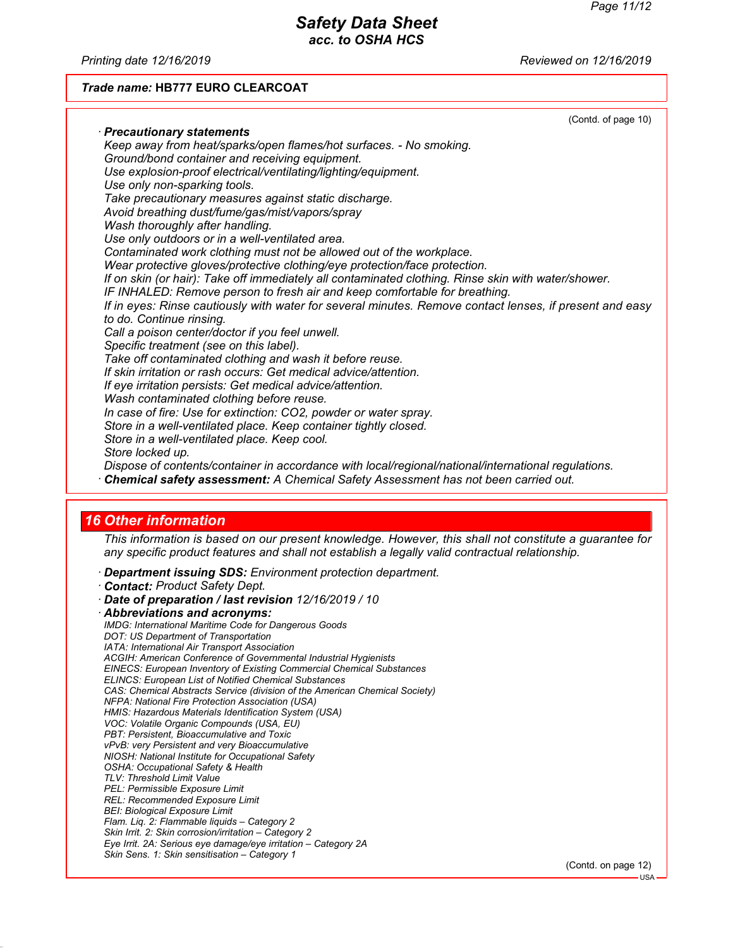*Printing date 12/16/2019 Reviewed on 12/16/2019*

#### *Trade name:* **HB777 EURO CLEARCOAT**

| (Contd. of page 10)                                                                                                                                                                         |  |
|---------------------------------------------------------------------------------------------------------------------------------------------------------------------------------------------|--|
| · Precautionary statements                                                                                                                                                                  |  |
| Keep away from heat/sparks/open flames/hot surfaces. - No smoking.                                                                                                                          |  |
| Ground/bond container and receiving equipment.                                                                                                                                              |  |
| Use explosion-proof electrical/ventilating/lighting/equipment.                                                                                                                              |  |
| Use only non-sparking tools.                                                                                                                                                                |  |
| Take precautionary measures against static discharge.                                                                                                                                       |  |
| Avoid breathing dust/fume/gas/mist/vapors/spray                                                                                                                                             |  |
| Wash thoroughly after handling.                                                                                                                                                             |  |
| Use only outdoors or in a well-ventilated area.                                                                                                                                             |  |
| Contaminated work clothing must not be allowed out of the workplace.                                                                                                                        |  |
| Wear protective gloves/protective clothing/eye protection/face protection.                                                                                                                  |  |
| If on skin (or hair): Take off immediately all contaminated clothing. Rinse skin with water/shower.                                                                                         |  |
| IF INHALED: Remove person to fresh air and keep comfortable for breathing.                                                                                                                  |  |
| If in eyes: Rinse cautiously with water for several minutes. Remove contact lenses, if present and easy                                                                                     |  |
| to do. Continue rinsing.                                                                                                                                                                    |  |
| Call a poison center/doctor if you feel unwell.                                                                                                                                             |  |
| Specific treatment (see on this label).                                                                                                                                                     |  |
| Take off contaminated clothing and wash it before reuse.                                                                                                                                    |  |
| If skin irritation or rash occurs: Get medical advice/attention.                                                                                                                            |  |
| If eye irritation persists: Get medical advice/attention.                                                                                                                                   |  |
| Wash contaminated clothing before reuse.                                                                                                                                                    |  |
| In case of fire: Use for extinction: CO2, powder or water spray.                                                                                                                            |  |
| Store in a well-ventilated place. Keep container tightly closed.                                                                                                                            |  |
| Store in a well-ventilated place. Keep cool.                                                                                                                                                |  |
| Store locked up.                                                                                                                                                                            |  |
|                                                                                                                                                                                             |  |
|                                                                                                                                                                                             |  |
| Dispose of contents/container in accordance with local/regional/national/international regulations.<br>· Chemical safety assessment: A Chemical Safety Assessment has not been carried out. |  |

### *16 Other information*

*This information is based on our present knowledge. However, this shall not constitute a guarantee for any specific product features and shall not establish a legally valid contractual relationship.*

*· Department issuing SDS: Environment protection department.*

- *· Contact: Product Safety Dept.*
- *· Date of preparation / last revision 12/16/2019 / 10 · Abbreviations and acronyms: IMDG: International Maritime Code for Dangerous Goods DOT: US Department of Transportation IATA: International Air Transport Association ACGIH: American Conference of Governmental Industrial Hygienists EINECS: European Inventory of Existing Commercial Chemical Substances ELINCS: European List of Notified Chemical Substances CAS: Chemical Abstracts Service (division of the American Chemical Society) NFPA: National Fire Protection Association (USA) HMIS: Hazardous Materials Identification System (USA) VOC: Volatile Organic Compounds (USA, EU) PBT: Persistent, Bioaccumulative and Toxic vPvB: very Persistent and very Bioaccumulative NIOSH: National Institute for Occupational Safety OSHA: Occupational Safety & Health TLV: Threshold Limit Value PEL: Permissible Exposure Limit REL: Recommended Exposure Limit BEI: Biological Exposure Limit Flam. Liq. 2: Flammable liquids – Category 2 Skin Irrit. 2: Skin corrosion/irritation – Category 2 Eye Irrit. 2A: Serious eye damage/eye irritation – Category 2A Skin Sens. 1: Skin sensitisation – Category 1*

(Contd. on page 12)

USA